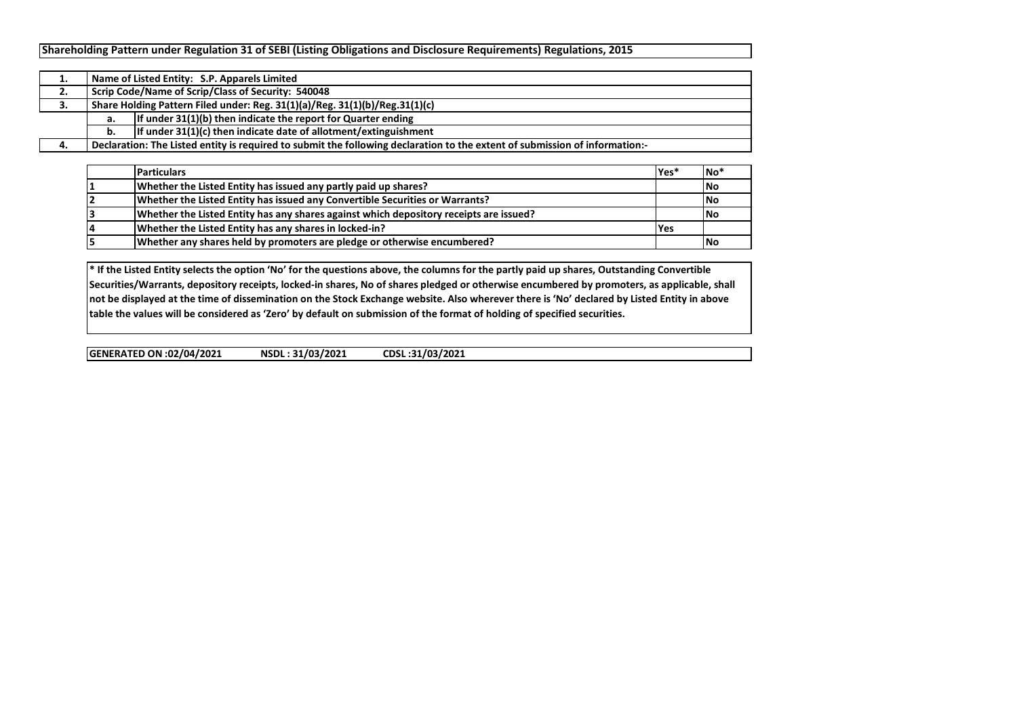|    |                                                                             | Name of Listed Entity: S.P. Apparels Limited                                                                                |  |  |  |  |  |  |  |  |  |
|----|-----------------------------------------------------------------------------|-----------------------------------------------------------------------------------------------------------------------------|--|--|--|--|--|--|--|--|--|
| ۷. |                                                                             | Scrip Code/Name of Scrip/Class of Security: 540048                                                                          |  |  |  |  |  |  |  |  |  |
| J. | Share Holding Pattern Filed under: Reg. 31(1)(a)/Reg. 31(1)(b)/Reg.31(1)(c) |                                                                                                                             |  |  |  |  |  |  |  |  |  |
|    | а.                                                                          | If under $31(1)(b)$ then indicate the report for Quarter ending                                                             |  |  |  |  |  |  |  |  |  |
|    | b.                                                                          | If under $31(1)(c)$ then indicate date of allotment/extinguishment                                                          |  |  |  |  |  |  |  |  |  |
|    |                                                                             | Declaration: The Listed entity is required to submit the following declaration to the extent of submission of information:- |  |  |  |  |  |  |  |  |  |

| <b>Particulars</b>                                                                     | lYes* | <b>INo</b> |
|----------------------------------------------------------------------------------------|-------|------------|
| Whether the Listed Entity has issued any partly paid up shares?                        |       | No         |
| Whether the Listed Entity has issued any Convertible Securities or Warrants?           |       | <b>INo</b> |
| Whether the Listed Entity has any shares against which depository receipts are issued? |       | <b>INo</b> |
| Whether the Listed Entity has any shares in locked-in?                                 | l Yes |            |
| Whether any shares held by promoters are pledge or otherwise encumbered?               |       | <b>INo</b> |

**\* If the Listed Entity selects the option 'No' for the questions above, the columns for the partly paid up shares, Outstanding Convertible Securities/Warrants, depository receipts, locked-in shares, No of shares pledged or otherwise encumbered by promoters, as applicable, shall not be displayed at the time of dissemination on the Stock Exchange website. Also wherever there is 'No' declared by Listed Entity in above table the values will be considered as 'Zero' by default on submission of the format of holding of specified securities.**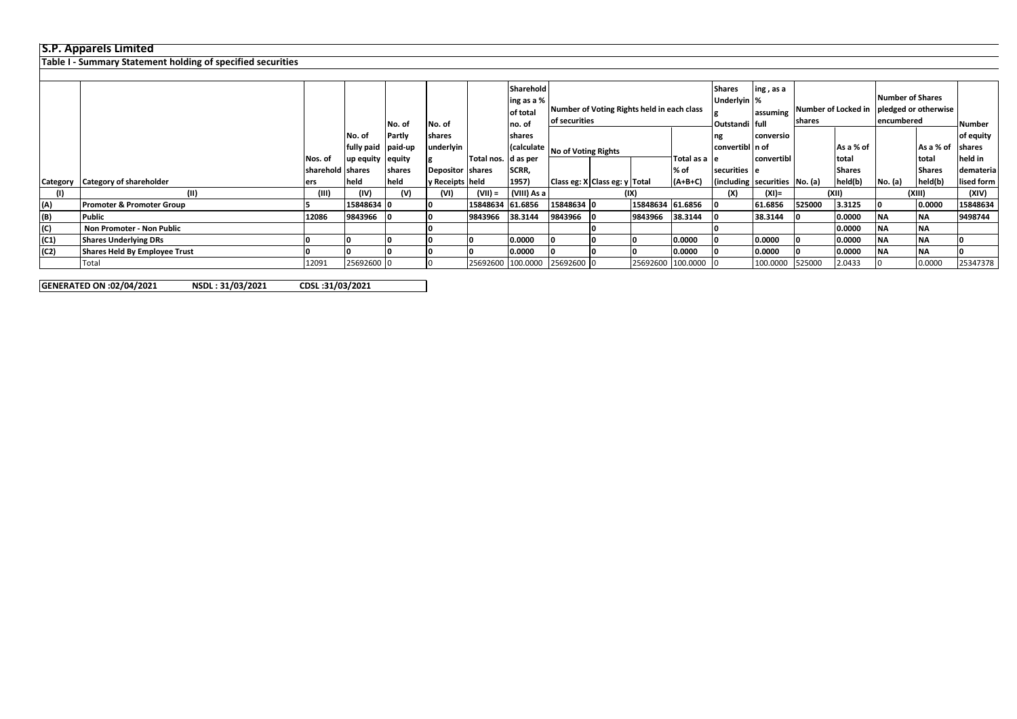## **S.P. Apparels Limited**

**Table I - Summary Statement holding of specified securities**

|                |                                      |                    |                    |        |                  |                       | Sharehold   |                                            |      |                   |                | <b>Shares</b><br>ing, as a            |                               |        |                         |         |               |               |        |       |
|----------------|--------------------------------------|--------------------|--------------------|--------|------------------|-----------------------|-------------|--------------------------------------------|------|-------------------|----------------|---------------------------------------|-------------------------------|--------|-------------------------|---------|---------------|---------------|--------|-------|
|                |                                      |                    |                    |        |                  |                       | ing as a %  |                                            |      |                   | Underlyin %    |                                       |                               |        | <b>Number of Shares</b> |         |               |               |        |       |
|                |                                      |                    |                    |        |                  |                       | of total    | Number of Voting Rights held in each class |      |                   |                |                                       | lassuming Number of Locked in |        | pledged or otherwise    |         |               |               |        |       |
|                |                                      |                    |                    | No. of | No. of           |                       | Ino. of     | of securities                              |      |                   | Outstandi full |                                       | <b>shares</b>                 |        | encumbered              |         | Number        |               |        |       |
|                |                                      |                    | No. of             | Partly | shares           |                       | shares      |                                            |      |                   |                | ng                                    | conversio                     |        |                         |         |               | of equity     |        |       |
|                |                                      |                    | fully paid paid-up |        | underlyin        |                       |             | (calculate   No of Voting Rights           |      |                   |                | convertibl n of                       |                               |        | As a % of               |         | As a % of     | <b>shares</b> |        |       |
|                |                                      | Nos. of            | up equity equity   |        |                  | Total nos.   d as per |             |                                            |      |                   | Total as a le  |                                       | convertibl                    |        | total                   |         | Itotal        | held in       |        |       |
|                |                                      | Isharehold Ishares |                    | shares | Depositor shares |                       | SCRR,       |                                            |      |                   | % of           | securities e                          |                               |        | <b>Shares</b>           |         | <b>Shares</b> | demateria     |        |       |
| Category       | <b>Category of shareholder</b>       | lers               | held               | held   | y Receipts held  |                       | 1957)       | Class eg: X Class eg: y Total              |      |                   | $(A+B+C)$      | $ $ (including securities $ No. (a) $ |                               |        | held(b)                 | No. (a) | held(b)       | lised form    |        |       |
| (1)            | (II)                                 | (III)              | (IV)               | (V)    | (VI)             | (VII) =               | (VIII) As a |                                            | (IX) |                   |                |                                       | (X)                           |        | $(XI) =$                |         | (XII)         |               | (XIII) | (XIV) |
| (A)            | <b>Promoter &amp; Promoter Group</b> |                    | 15848634 0         |        |                  | 15848634 61.6856      |             | 15848634 0                                 |      | 15848634 61.6856  |                |                                       | 61.6856                       | 525000 | 3.3125                  |         | 0.0000        | 15848634      |        |       |
| (B)            | Public                               | 12086              | 9843966            |        | 10               | 9843966               | 38.3144     | 9843966                                    |      | 9843966           | 38.3144        |                                       | 38.3144                       |        | 0.0000                  | ΝA      | <b>INA</b>    | 9498744       |        |       |
| $\overline{c}$ | Non Promoter - Non Public            |                    |                    |        |                  |                       |             |                                            |      |                   |                |                                       |                               |        | 0.0000                  | ΝA      | <b>INA</b>    |               |        |       |
| (C1)           | <b>Shares Underlying DRs</b>         |                    |                    |        |                  |                       | 0.0000      |                                            |      |                   | 0.0000         |                                       | 0.0000                        |        | 0.0000                  | ΝA      | <b>INA</b>    |               |        |       |
| (C2)           | <b>Shares Held By Employee Trust</b> |                    |                    |        | 10               |                       | 0.0000      |                                            |      |                   | 0.0000         |                                       | 0.0000                        |        | 0.0000                  | ΝA      | <b>INA</b>    |               |        |       |
|                | Total                                | 12091              | 25692600 0         |        | 10.              |                       |             | 25692600 100.0000 25692600 0               |      | 25692600 100.0000 |                |                                       | 100.0000                      | 525000 | 2.0433                  |         | 0.0000        | 25347378      |        |       |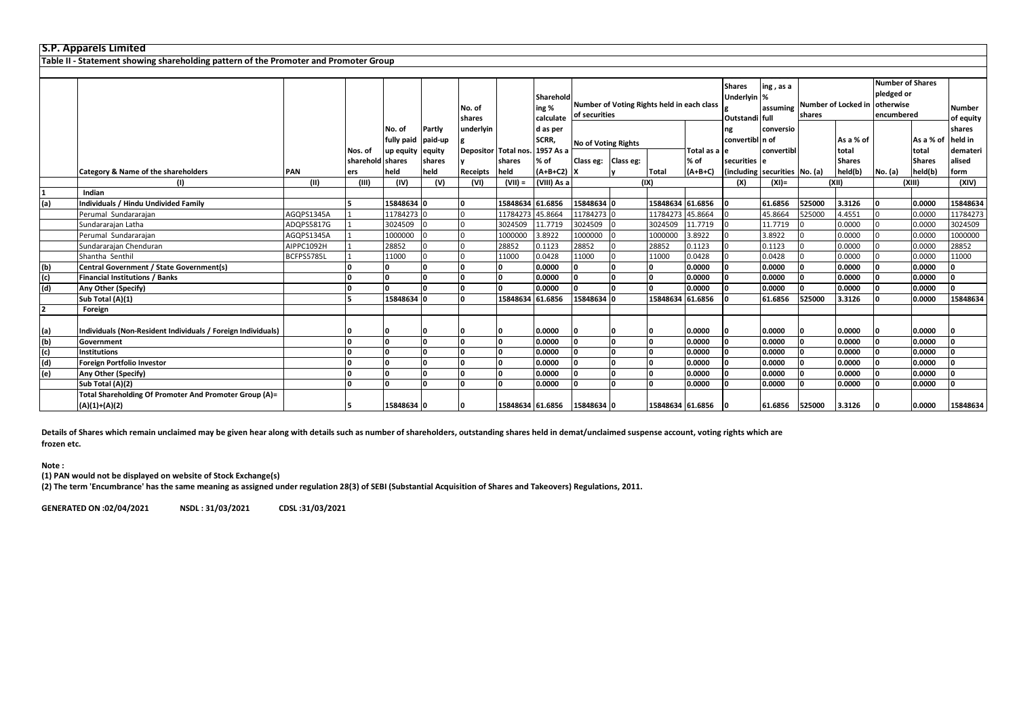|     | <b>S.P. Apparels Limited</b>                                                         |            |                  |                                   |                             |                  |                                |                                 |                                                             |  |                  |              |                                                |                         |                                         |                    |                                                     |                    |                               |  |
|-----|--------------------------------------------------------------------------------------|------------|------------------|-----------------------------------|-----------------------------|------------------|--------------------------------|---------------------------------|-------------------------------------------------------------|--|------------------|--------------|------------------------------------------------|-------------------------|-----------------------------------------|--------------------|-----------------------------------------------------|--------------------|-------------------------------|--|
|     | Table II - Statement showing shareholding pattern of the Promoter and Promoter Group |            |                  |                                   |                             |                  |                                |                                 |                                                             |  |                  |              |                                                |                         |                                         |                    |                                                     |                    |                               |  |
|     |                                                                                      |            |                  |                                   |                             |                  |                                |                                 |                                                             |  |                  |              |                                                |                         |                                         |                    |                                                     |                    |                               |  |
|     |                                                                                      |            |                  |                                   |                             | No. of<br>shares |                                | Sharehold<br>ing %<br>calculate | Number of Voting Rights held in each class<br>of securities |  |                  |              | <b>Shares</b><br>Underlyin %<br>Outstandi full | ing, as a<br>assuming   | Number of Locked in otherwise<br>shares |                    | <b>Number of Shares</b><br>pledged or<br>encumbered |                    | Number<br>of equity           |  |
|     |                                                                                      |            | Nos. of          | No. of<br>fully paid<br>up equity | Partly<br>paid-up<br>equity | underlyin        | Depositor Total nos. 1957 As a | d as per<br>SCRR,               | <b>No of Voting Rights</b>                                  |  |                  | Total as a e | ng<br>convertibl n of                          | conversio<br>convertibl |                                         | As a % of<br>total |                                                     | As a % of<br>total | shares<br>held in<br>demateri |  |
|     |                                                                                      |            | sharehold shares |                                   | shares                      |                  | shares                         | % of                            | Class eg: Class eg:                                         |  |                  | % of         | securities e                                   |                         |                                         | <b>Shares</b>      |                                                     | <b>Shares</b>      | alised                        |  |
|     | Category & Name of the shareholders                                                  | <b>PAN</b> | ers              | held                              | held                        | Receipts         | held                           | $(A+B+C2)$                      |                                                             |  | <b>Total</b>     | $(A+B+C)$    | (including securities No. (a)                  |                         |                                         | held(b)            | No. (a)                                             | held(b)            | form                          |  |
|     | (1)                                                                                  | (11)       | (III)            | (IV)                              | (V)                         | (VI)             | $(VII) =$                      | (VIII) As a                     |                                                             |  | (IX)             |              | (X)                                            | $(XI) =$                |                                         | (XII)              |                                                     | (XIII)             | (XIV)                         |  |
|     | Indian                                                                               |            |                  |                                   |                             |                  |                                |                                 |                                                             |  |                  |              |                                                |                         |                                         |                    |                                                     |                    |                               |  |
| (a) | <b>Individuals / Hindu Undivided Family</b>                                          |            |                  | 15848634 0                        |                             |                  | 15848634 61.6856               |                                 | 15848634 0                                                  |  | 15848634 61.6856 |              |                                                | 61.6856                 | 525000                                  | 3.3126             | l n                                                 | 0.0000             | 15848634                      |  |
|     | Perumal Sundararajan                                                                 | AGQPS1345A |                  | 11784273 C                        |                             |                  | 11784273 45.8664               |                                 | 11784273                                                    |  | 11784273 45.8664 |              |                                                | 45.8664                 | 525000                                  | 4.4551             |                                                     | 0.0000             | 11784273                      |  |
|     | Sundararajan Latha                                                                   | ADQPS5817G |                  | 3024509                           |                             |                  | 3024509                        | 11.7719                         | 3024509                                                     |  | 3024509          | 11.7719      |                                                | 11.7719                 |                                         | 0.0000             |                                                     | 0.0000             | 3024509                       |  |
|     | Perumal Sundararajan                                                                 | AGQPS1345A |                  | 1000000                           |                             |                  | 1000000                        | 3.8922                          | 1000000                                                     |  | 1000000          | 3.8922       |                                                | 3.8922                  |                                         | 0.0000             |                                                     | 0.0000             | 1000000                       |  |
|     | Sundararajan Chenduran                                                               | AIPPC1092H |                  | 28852                             |                             |                  | 28852                          | 0.1123                          | 28852                                                       |  | 28852            | 0.1123       |                                                | 0.1123                  |                                         | 0.0000             |                                                     | 0.0000             | 28852                         |  |
|     | Shantha Senthil                                                                      | BCFPS5785L |                  | 11000                             |                             |                  | 11000                          | 0.0428                          | 11000                                                       |  | 11000            | 0.0428       |                                                | 0.0428                  |                                         | 0.0000             |                                                     | 0.0000             | 11000                         |  |
| (b) | <b>Central Government / State Government(s)</b>                                      |            |                  | 0                                 |                             |                  |                                | 0.0000                          | l n                                                         |  | <sup>0</sup>     | 0.0000       |                                                | 0.0000                  |                                         | 0.0000             |                                                     | 0.0000             | n                             |  |
| (c) | <b>Financial Institutions / Banks</b>                                                |            |                  | ۱o                                |                             |                  | n                              | 0.0000                          | ١n                                                          |  | <b>O</b>         | 0.0000       |                                                | 0.0000                  |                                         | 0.0000             |                                                     | 0.0000             | n                             |  |
| (d) | Any Other (Specify)                                                                  |            |                  | n.                                |                             |                  |                                | 0.0000                          | n                                                           |  | $\Omega$         | 0.0000       |                                                | 0.0000                  |                                         | 0.0000             |                                                     | 0.0000             | n.                            |  |
|     | Sub Total (A)(1)                                                                     |            |                  | 15848634 0                        |                             |                  | 15848634 61.6856               |                                 | 15848634                                                    |  | 15848634 61.6856 |              |                                                | 61.6856                 | 525000                                  | 3.3126             |                                                     | 0.0000             | 15848634                      |  |
| 2   | Foreign                                                                              |            |                  |                                   |                             |                  |                                |                                 |                                                             |  |                  |              |                                                |                         |                                         |                    |                                                     |                    |                               |  |
| (a) | Individuals (Non-Resident Individuals / Foreign Individuals)                         |            |                  |                                   |                             |                  |                                | 0.0000                          |                                                             |  |                  | 0.0000       |                                                | 0.0000                  |                                         | 0.0000             |                                                     | 0.0000             |                               |  |
| (b) | Government                                                                           |            |                  | ١n                                |                             |                  |                                | 0.0000                          | n                                                           |  |                  | 0.0000       |                                                | 0.0000                  |                                         | 0.0000             |                                                     | 0.0000             |                               |  |
| (c) | <b>Institutions</b>                                                                  |            |                  | ۱n                                | ۱n                          |                  |                                | 0.0000                          | n                                                           |  | O                | 0.0000       |                                                | 0.0000                  |                                         | 0.0000             |                                                     | 0.0000             |                               |  |
| (d) | <b>Foreign Portfolio Investor</b>                                                    |            | n                | ١n                                | n                           |                  |                                | 0.0000                          |                                                             |  | <sup>0</sup>     | 0.0000       |                                                | 0.0000                  |                                         | 0.0000             |                                                     | 0.0000             |                               |  |
| (e) | Any Other (Specify)                                                                  |            | n                | $\Omega$                          | ١n                          |                  | $\Omega$                       | 0.0000                          |                                                             |  | ١o               | 0.0000       |                                                | 0.0000                  |                                         | 0.0000             |                                                     | 0.0000             | n                             |  |
|     | Sub Total (A)(2)                                                                     |            |                  | $\Omega$                          |                             |                  |                                | 0.0000                          |                                                             |  | $\Omega$         | 0.0000       |                                                | 0.0000                  |                                         | 0.0000             |                                                     | 0.0000             |                               |  |
|     | Total Shareholding Of Promoter And Promoter Group (A)=<br>$(A)(1)+(A)(2)$            |            |                  | 15848634 0                        |                             |                  | 15848634 61.6856               |                                 | 15848634 0                                                  |  | 15848634 61.6856 |              |                                                | 61.6856                 | 525000                                  | 3.3126             |                                                     | 0.0000             | 15848634                      |  |
|     |                                                                                      |            |                  |                                   |                             |                  |                                |                                 |                                                             |  |                  |              |                                                |                         |                                         |                    |                                                     |                    |                               |  |

**Details of Shares which remain unclaimed may be given hear along with details such as number of shareholders, outstanding shares held in demat/unclaimed suspense account, voting rights which are frozen etc.**

**Note :**

**(1) PAN would not be displayed on website of Stock Exchange(s)** 

**(2) The term 'Encumbrance' has the same meaning as assigned under regulation 28(3) of SEBI (Substantial Acquisition of Shares and Takeovers) Regulations, 2011.**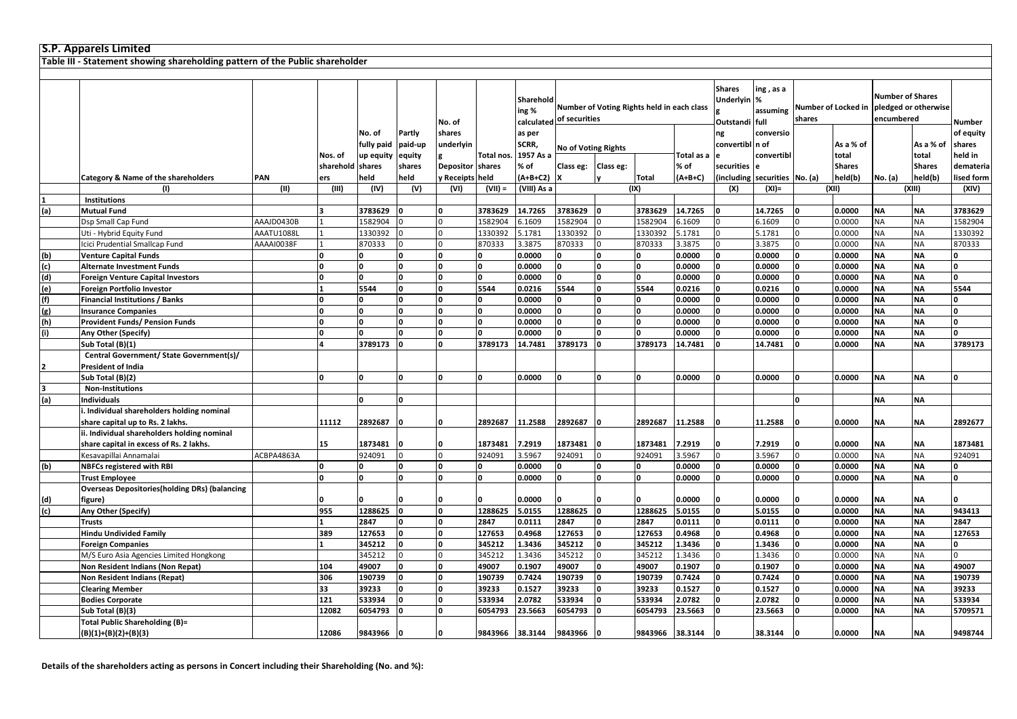|     | <b>S.P. Apparels Limited</b>                                                 |            |           |            |            |                  |                 |                    |                          |                                            |                 |            |                                                     |                               |                |                     |                                       |                      |            |
|-----|------------------------------------------------------------------------------|------------|-----------|------------|------------|------------------|-----------------|--------------------|--------------------------|--------------------------------------------|-----------------|------------|-----------------------------------------------------|-------------------------------|----------------|---------------------|---------------------------------------|----------------------|------------|
|     | Table III - Statement showing shareholding pattern of the Public shareholder |            |           |            |            |                  |                 |                    |                          |                                            |                 |            |                                                     |                               |                |                     |                                       |                      |            |
|     |                                                                              |            |           |            |            |                  |                 |                    |                          |                                            |                 |            |                                                     |                               |                |                     |                                       |                      |            |
|     |                                                                              |            |           |            |            | No. of           |                 | Sharehold<br>ing % | calculated of securities | Number of Voting Rights held in each class |                 |            | <b>Shares</b><br><b>Underlyin</b><br>Outstandi full | ing , as a<br>%<br>assuming   | shares         | Number of Locked in | <b>Number of Shares</b><br>encumbered | pledged or otherwise | Number     |
|     |                                                                              |            |           | No. of     | Partly     | shares           |                 | as per             |                          |                                            |                 |            | ng                                                  | conversio                     |                |                     |                                       |                      | of equity  |
|     |                                                                              |            |           | fully paid | paid-up    | underlyin        |                 | SCRR,              |                          | <b>No of Voting Rights</b>                 |                 |            | convertibl n of                                     |                               |                | As a % of           |                                       | As a % of            | shares     |
|     |                                                                              |            | Nos. of   | up equity  | equity     |                  | Total nos       | 1957 As a          |                          |                                            |                 | Total as a |                                                     | convertibl                    |                | total               |                                       | total                | held in    |
|     |                                                                              |            | sharehold | shares     | shares     | Depositor shares |                 | % of               | Class eg:                | Class eg:                                  |                 | % of       | securities                                          |                               |                | <b>Shares</b>       |                                       | <b>Shares</b>        | demateria  |
|     | Category & Name of the shareholders                                          | PAN        | ers       | held       | held       | y Receipts held  |                 | $(A+B+C2)$         |                          |                                            | <b>Total</b>    | $(A+B+C)$  |                                                     | (including securities No. (a) |                | held(b)             | No. (a)                               | held(b)              | lised form |
|     | (1)                                                                          | (II)       | (III)     | (IV)       | (V)        | (VI)             | $(VII) =$       | (VIII) As a        |                          |                                            | (IX)            |            | (X)                                                 | $(XI) =$                      |                | (XII)               |                                       | (XIII)               | (XIV)      |
|     | <b>Institutions</b>                                                          |            |           |            |            |                  |                 |                    |                          |                                            |                 |            |                                                     |                               |                |                     |                                       |                      |            |
| (a) | <b>Mutual Fund</b>                                                           |            |           | 3783629    |            |                  | 3783629         | 14.7265            | 3783629                  | ١O                                         | 3783629         | 14.7265    |                                                     | 14.7265                       | 0              | 0.0000              | <b>NA</b>                             | <b>NA</b>            | 3783629    |
|     | Dsp Small Cap Fund                                                           | AAAJD0430B |           | 1582904    |            |                  | 1582904         | 6.1609             | 1582904                  |                                            | 1582904         | 6.1609     |                                                     | 6.1609                        | $\Omega$       | 0.0000              | <b>NA</b>                             | <b>NA</b>            | 1582904    |
|     | Uti - Hybrid Equity Fund                                                     | AAATU1088L |           | 1330392    |            |                  | 1330392         | 5.1781             | 1330392                  |                                            | 1330392         | 5.1781     | $\Omega$                                            | 5.1781                        | $\overline{0}$ | 0.0000              | <b>NA</b>                             | <b>NA</b>            | 1330392    |
|     | Icici Prudential Smallcap Fund                                               | AAAAI0038F |           | 870333     | $\Omega$   |                  | 870333          | 3.3875             | 870333                   | $\Omega$                                   | 870333          | 3.3875     |                                                     | 3.3875                        | $\overline{0}$ | 0.0000              | NA                                    | <b>NA</b>            | 870333     |
| (b) | <b>Venture Capital Funds</b>                                                 |            |           |            | n          |                  |                 | 0.0000             |                          | O                                          | 0               | 0.0000     |                                                     | 0.0000                        | O              | 0.0000              | <b>NA</b>                             | <b>NA</b>            |            |
| (c) | <b>Alternate Investment Funds</b>                                            |            |           |            |            |                  |                 | 0.0000             |                          | O                                          |                 | 0.0000     |                                                     | 0.0000                        | 0              | 0.0000              | <b>NA</b>                             | <b>NA</b>            |            |
| (d) | <b>Foreign Venture Capital Investors</b>                                     |            | l0        | O          | $\Omega$   |                  | ١o              | 0.0000             |                          | O                                          | O               | 0.0000     | ١o                                                  | 0.0000                        | O              | 0.0000              | <b>NA</b>                             | <b>NA</b>            |            |
| (e) | <b>Foreign Portfolio Investor</b>                                            |            |           | 5544       | $\Omega$   | O                | 5544            | 0.0216             | 5544                     | $\mathbf{0}$                               | 5544            | 0.0216     | ١o                                                  | 0.0216                        | 0              | 0.0000              | <b>NA</b>                             | <b>NA</b>            | 5544       |
| (f) | <b>Financial Institutions / Banks</b>                                        |            | $\Omega$  | 0          | $\Omega$   | $\Omega$         |                 | 0.0000             | 0                        | O                                          | O               | 0.0000     | $\Omega$                                            | 0.0000                        | 0              | 0.0000              | <b>NA</b>                             | <b>NA</b>            |            |
| (g) | <b>Insurance Companies</b>                                                   |            |           |            | $\sqrt{2}$ |                  |                 | 0.0000             |                          | n                                          | O               | 0.0000     |                                                     | 0.0000                        | n              | 0.0000              | <b>NA</b>                             | <b>NA</b>            |            |
| (h) | <b>Provident Funds/ Pension Funds</b>                                        |            |           |            |            |                  |                 | 0.0000             |                          | O                                          |                 | 0.0000     |                                                     | 0.0000                        |                | 0.0000              | <b>NA</b>                             | <b>NA</b>            |            |
| (i) | Any Other (Specify)                                                          |            | l0        | O          | n          |                  |                 | 0.0000             |                          | O                                          |                 | 0.0000     |                                                     | 0.0000                        | $\Omega$       | 0.0000              | <b>NA</b>                             | <b>NA</b>            |            |
|     | Sub Total (B)(1)                                                             |            |           | 3789173    | $\Omega$   |                  | 3789173         | 14.7481            | 3789173                  | 0                                          | 3789173         | 14.7481    |                                                     | 14.7481                       | 0              | 0.0000              | <b>NA</b>                             | <b>NA</b>            | 3789173    |
|     | Central Government/ State Government(s)/                                     |            |           |            |            |                  |                 |                    |                          |                                            |                 |            |                                                     |                               |                |                     |                                       |                      |            |
| 2   | President of India                                                           |            |           |            |            |                  |                 |                    |                          |                                            |                 |            |                                                     |                               |                |                     |                                       |                      |            |
|     | Sub Total (B)(2)                                                             |            | $\Omega$  |            |            |                  | n               | 0.0000             |                          | O                                          | <sup>0</sup>    | 0.0000     | ١n                                                  | 0.0000                        | 0              | 0.0000              | <b>NA</b>                             | <b>NA</b>            |            |
| 3   | <b>Non-Institutions</b>                                                      |            |           |            |            |                  |                 |                    |                          |                                            |                 |            |                                                     |                               |                |                     |                                       |                      |            |
| (a) | <b>Individuals</b>                                                           |            |           | $\Omega$   | $\Omega$   |                  |                 |                    |                          |                                            |                 |            |                                                     |                               | O              |                     | <b>NA</b>                             | <b>NA</b>            |            |
|     | . Individual shareholders holding nominal                                    |            |           |            |            |                  |                 |                    |                          |                                            |                 |            |                                                     |                               |                |                     |                                       |                      |            |
|     | share capital up to Rs. 2 lakhs.                                             |            | 11112     | 2892687    |            |                  | 2892687         | 11.2588            | 2892687                  |                                            | 2892687         | 11.2588    |                                                     | 11.2588                       |                | 0.0000              | NA                                    | ΝA                   | 2892677    |
|     | ii. Individual shareholders holding nominal                                  |            |           |            |            |                  |                 |                    |                          |                                            |                 |            |                                                     |                               |                |                     |                                       |                      |            |
|     | share capital in excess of Rs. 2 lakhs.                                      |            | 15        | 1873481    |            |                  | 1873481         | 7.2919             | 1873481                  |                                            | 1873481         | 7.2919     |                                                     | 7.2919                        |                | 0.0000              | <b>NA</b>                             | <b>NA</b>            | 1873481    |
|     | Kesavapillai Annamalai                                                       | ACBPA4863A |           | 924091     | $\Omega$   |                  | 924091          | 3.5967             | 924091                   | $\overline{0}$                             | 924091          | 3.5967     | l O                                                 | 3.5967                        | $\overline{0}$ | 0.0000              | <b>NA</b>                             | <b>NA</b>            | 924091     |
| (b) | <b>NBFCs registered with RBI</b>                                             |            | 0         | O.         | O          | 0                |                 | 0.0000             | 0                        | O                                          | 0               | 0.0000     | ١o                                                  | 0.0000                        | 0              | 0.0000              | <b>NA</b>                             | <b>NA</b>            | 0          |
|     | <b>Trust Employee</b>                                                        |            |           |            |            |                  |                 | 0.0000             |                          | n                                          | n               | 0.0000     |                                                     | 0.0000                        | n              | 0.0000              | <b>NA</b>                             | <b>NA</b>            |            |
|     | <b>Overseas Depositories (holding DRs) (balancing</b>                        |            |           |            |            |                  |                 |                    |                          |                                            |                 |            |                                                     |                               |                |                     |                                       |                      |            |
| (d) | figure)                                                                      |            |           |            |            |                  |                 | 0.0000             |                          |                                            |                 | 0.0000     |                                                     | 0.0000                        |                | 0.0000              | <b>NA</b>                             | <b>NA</b>            |            |
| (c) | Any Other (Specify)                                                          |            | 955       | 1288625    | O          | 0                | 1288625         | 5.0155             | 1288625                  | 0                                          | 1288625         | 5.0155     | 0                                                   | 5.0155                        | 0              | 0.0000              | <b>NA</b>                             | <b>NA</b>            | 943413     |
|     | Trusts                                                                       |            |           | 2847       | O          | 0                | 2847            | 0.0111             | 2847                     | O                                          | 2847            | 0.0111     | ١o                                                  | 0.0111                        | 0              | 0.0000              | <b>NA</b>                             | <b>NA</b>            | 2847       |
|     | <b>Hindu Undivided Family</b>                                                |            | 389       | 127653     | n          |                  | 127653          | 0.4968             | 127653                   | $\Omega$                                   | 127653          | 0.4968     |                                                     | 0.4968                        | $\Omega$       | 0.0000              | <b>NA</b>                             | <b>NA</b>            | 127653     |
|     | <b>Foreign Companies</b>                                                     |            |           | 345212     | $\Omega$   |                  | 345212          | 1.3436             | 345212                   | $\Omega$                                   | 345212          | 1.3436     |                                                     | 1.3436                        | O              | 0.0000              | <b>NA</b>                             | <b>NA</b>            |            |
|     | M/S Euro Asia Agencies Limited Hongkong                                      |            |           | 345212     |            |                  | 345212          | 1.3436             | 345212                   |                                            | 345212          | 1.3436     |                                                     | 1.3436                        | $\Omega$       | 0.0000              | <b>NA</b>                             | <b>NA</b>            |            |
|     | Non Resident Indians (Non Repat)                                             |            | 104       | 49007      | O          | 0                | 49007           | 0.1907             | 49007                    | O                                          | 49007           | 0.1907     | ١o                                                  | 0.1907                        | 0              | 0.0000              | <b>NA</b>                             | <b>NA</b>            | 49007      |
|     | Non Resident Indians (Repat)                                                 |            | 306       | 190739     | O          | 0                | 190739          | 0.7424             | 190739                   | O                                          | 190739          | 0.7424     | ١o                                                  | 0.7424                        | 0              | 0.0000              | <b>NA</b>                             | <b>NA</b>            | 190739     |
|     | <b>Clearing Member</b>                                                       |            | 33        | 39233      |            |                  | 39233           | 0.1527             | 39233                    | $\Omega$                                   | 39233           | 0.1527     |                                                     | 0.1527                        | $\Omega$       | 0.0000              | <b>NA</b>                             | <b>NA</b>            | 39233      |
|     | <b>Bodies Corporate</b>                                                      |            | 121       | 533934     |            |                  | 533934          | 2.0782             | 533934                   |                                            | 533934          | 2.0782     |                                                     | 2.0782                        | O              | 0.0000              | <b>NA</b>                             | <b>NA</b>            | 533934     |
|     | Sub Total (B)(3)                                                             |            | 12082     | 6054793    |            |                  | 6054793         | 23.5663            | 6054793                  |                                            | 6054793         | 23.5663    |                                                     | 23.5663                       |                | 0.0000              | <b>NA</b>                             | <b>NA</b>            | 5709571    |
|     | <b>Total Public Shareholding (B)=</b>                                        |            | 12086     | 9843966    |            | ١o               |                 |                    | 9843966                  |                                            |                 |            |                                                     | 38.3144                       |                | 0.0000              | <b>NA</b>                             | <b>NA</b>            | 9498744    |
|     | $(B)(1)+(B)(2)+(B)(3)$                                                       |            |           |            |            |                  | 9843966 38.3144 |                    |                          |                                            | 9843966 38.3144 |            |                                                     |                               |                |                     |                                       |                      |            |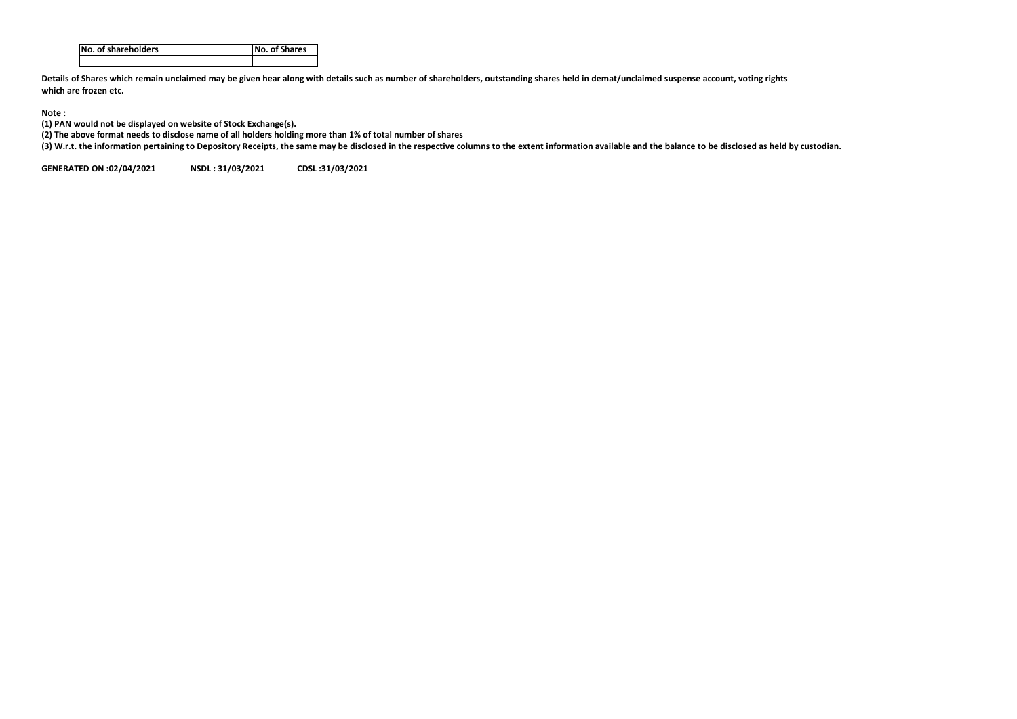| INo. of shareholders | No. of Shares |
|----------------------|---------------|
|                      |               |

**Details of Shares which remain unclaimed may be given hear along with details such as number of shareholders, outstanding shares held in demat/unclaimed suspense account, voting rights which are frozen etc.**

## **Note :**

**(1) PAN would not be displayed on website of Stock Exchange(s).** 

**(2) The above format needs to disclose name of all holders holding more than 1% of total number of shares**

**(3) W.r.t. the information pertaining to Depository Receipts, the same may be disclosed in the respective columns to the extent information available and the balance to be disclosed as held by custodian.**